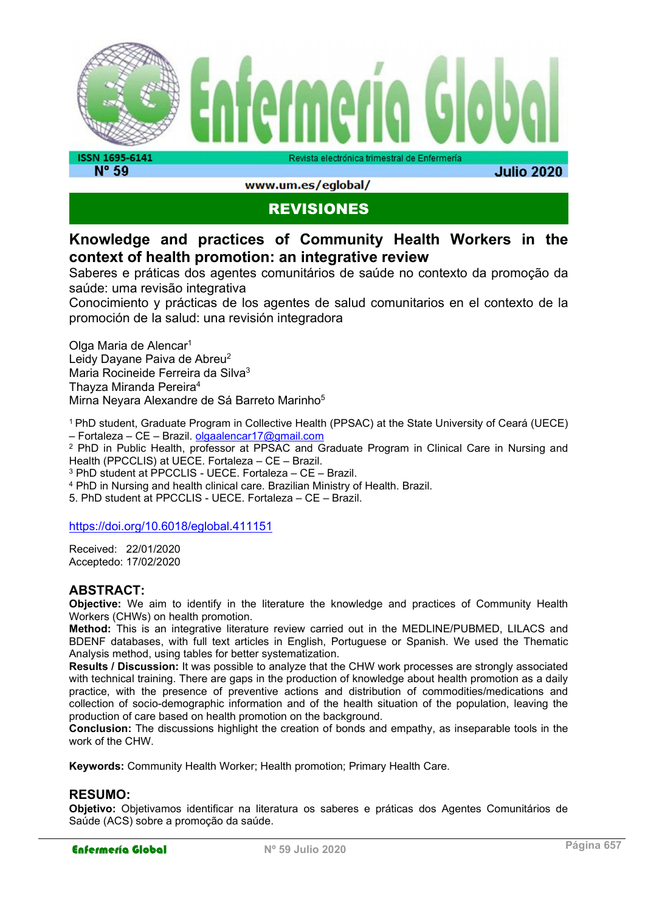

**N° 59** 

www.um.es/eglobal/

**Julio 2020** 

## REVISIONES

## Knowledge and practices of Community Health Workers in the context of health promotion: an integrative review

Saberes e práticas dos agentes comunitários de saúde no contexto da promoção da saúde: uma revisão integrativa

Conocimiento y prácticas de los agentes de salud comunitarios en el contexto de la promoción de la salud: una revisión integradora

Olga Maria de Alencar<sup>1</sup> Leidy Dayane Paiva de Abreu<sup>2</sup> Maria Rocineide Ferreira da Silva<sup>3</sup> Thayza Miranda Pereira<sup>4</sup> Mirna Nevara Alexandre de Sá Barreto Marinho<sup>5</sup>

<sup>1</sup>PhD student, Graduate Program in Collective Health (PPSAC) at the State University of Ceará (UECE) – Fortaleza – CE – Brazil. olgaalencar17@gmail.com

2 PhD in Public Health, professor at PPSAC and Graduate Program in Clinical Care in Nursing and Health (PPCCLIS) at UECE. Fortaleza – CE – Brazil.

3 PhD student at PPCCLIS - UECE. Fortaleza – CE – Brazil.

4 PhD in Nursing and health clinical care. Brazilian Ministry of Health. Brazil.

5. PhD student at PPCCLIS - UECE. Fortaleza – CE – Brazil.

#### https://doi.org/10.6018/eglobal.411151

Received: 22/01/2020 Acceptedo: 17/02/2020

#### ABSTRACT:

Objective: We aim to identify in the literature the knowledge and practices of Community Health Workers (CHWs) on health promotion.

Method: This is an integrative literature review carried out in the MEDLINE/PUBMED, LILACS and BDENF databases, with full text articles in English, Portuguese or Spanish. We used the Thematic Analysis method, using tables for better systematization.

Results / Discussion: It was possible to analyze that the CHW work processes are strongly associated with technical training. There are gaps in the production of knowledge about health promotion as a daily practice, with the presence of preventive actions and distribution of commodities/medications and collection of socio-demographic information and of the health situation of the population, leaving the production of care based on health promotion on the background.

Conclusion: The discussions highlight the creation of bonds and empathy, as inseparable tools in the work of the CHW.

Keywords: Community Health Worker; Health promotion; Primary Health Care.

#### RESUMO:

Objetivo: Objetivamos identificar na literatura os saberes e práticas dos Agentes Comunitários de Saúde (ACS) sobre a promoção da saúde.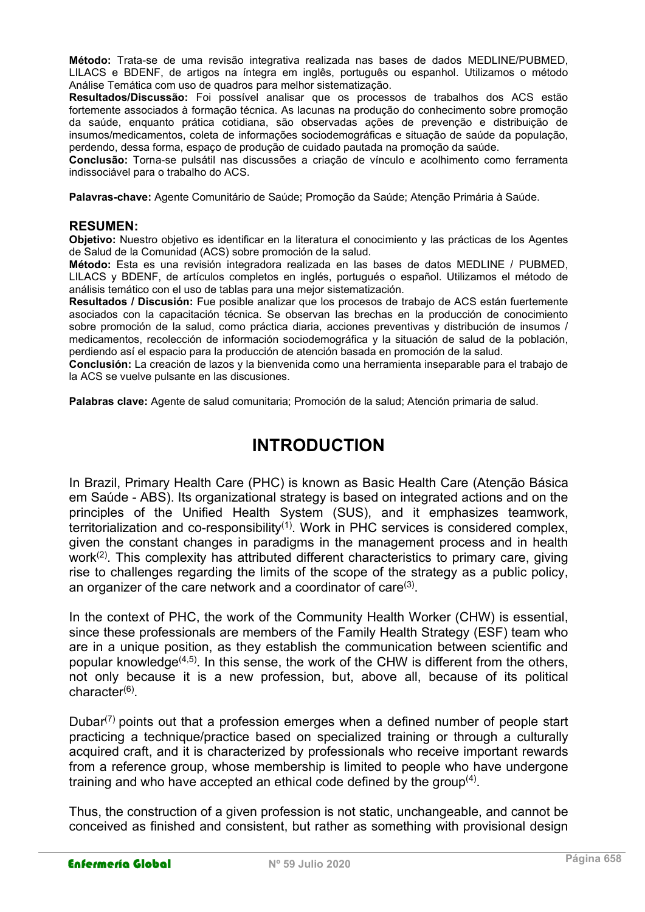Método: Trata-se de uma revisão integrativa realizada nas bases de dados MEDLINE/PUBMED, LILACS e BDENF, de artigos na íntegra em inglês, português ou espanhol. Utilizamos o método Análise Temática com uso de quadros para melhor sistematização.

Resultados/Discussão: Foi possível analisar que os processos de trabalhos dos ACS estão fortemente associados à formação técnica. As lacunas na produção do conhecimento sobre promoção da saúde, enquanto prática cotidiana, são observadas ações de prevenção e distribuição de insumos/medicamentos, coleta de informações sociodemográficas e situação de saúde da população, perdendo, dessa forma, espaço de produção de cuidado pautada na promoção da saúde.

Conclusão: Torna-se pulsátil nas discussões a criação de vínculo e acolhimento como ferramenta indissociável para o trabalho do ACS.

Palavras-chave: Agente Comunitário de Saúde; Promoção da Saúde; Atenção Primária à Saúde.

#### RESUMEN:

Objetivo: Nuestro objetivo es identificar en la literatura el conocimiento y las prácticas de los Agentes de Salud de la Comunidad (ACS) sobre promoción de la salud.

Método: Esta es una revisión integradora realizada en las bases de datos MEDLINE / PUBMED, LILACS y BDENF, de artículos completos en inglés, portugués o español. Utilizamos el método de análisis temático con el uso de tablas para una mejor sistematización.

Resultados / Discusión: Fue posible analizar que los procesos de trabajo de ACS están fuertemente asociados con la capacitación técnica. Se observan las brechas en la producción de conocimiento sobre promoción de la salud, como práctica diaria, acciones preventivas y distribución de insumos / medicamentos, recolección de información sociodemográfica y la situación de salud de la población, perdiendo así el espacio para la producción de atención basada en promoción de la salud.

Conclusión: La creación de lazos y la bienvenida como una herramienta inseparable para el trabajo de la ACS se vuelve pulsante en las discusiones.

Palabras clave: Agente de salud comunitaria; Promoción de la salud; Atención primaria de salud.

## INTRODUCTION

In Brazil, Primary Health Care (PHC) is known as Basic Health Care (Atenção Básica em Saúde - ABS). Its organizational strategy is based on integrated actions and on the principles of the Unified Health System (SUS), and it emphasizes teamwork, territorialization and co-responsibility<sup>(1)</sup>. Work in PHC services is considered complex, given the constant changes in paradigms in the management process and in health work<sup>(2)</sup>. This complexity has attributed different characteristics to primary care, giving rise to challenges regarding the limits of the scope of the strategy as a public policy, an organizer of the care network and a coordinator of care $^{\scriptsize{(3)}}$ .

In the context of PHC, the work of the Community Health Worker (CHW) is essential, since these professionals are members of the Family Health Strategy (ESF) team who are in a unique position, as they establish the communication between scientific and popular knowledge $(4,5)$ . In this sense, the work of the CHW is different from the others, not only because it is a new profession, but, above all, because of its political character<sup>(6)</sup>.

Dubar $(7)$  points out that a profession emerges when a defined number of people start practicing a technique/practice based on specialized training or through a culturally acquired craft, and it is characterized by professionals who receive important rewards from a reference group, whose membership is limited to people who have undergone training and who have accepted an ethical code defined by the group $^{(4)}$ .

Thus, the construction of a given profession is not static, unchangeable, and cannot be conceived as finished and consistent, but rather as something with provisional design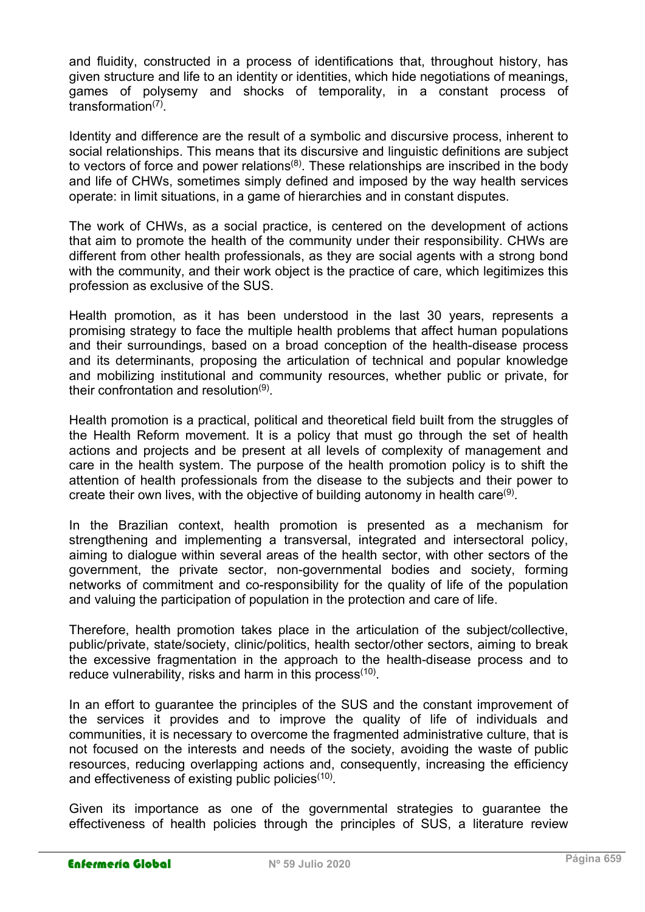and fluidity, constructed in a process of identifications that, throughout history, has given structure and life to an identity or identities, which hide negotiations of meanings, games of polysemy and shocks of temporality, in a constant process of transformation<sup>(7)</sup>.

Identity and difference are the result of a symbolic and discursive process, inherent to social relationships. This means that its discursive and linguistic definitions are subject to vectors of force and power relations<sup>(8)</sup>. These relationships are inscribed in the body and life of CHWs, sometimes simply defined and imposed by the way health services operate: in limit situations, in a game of hierarchies and in constant disputes.

The work of CHWs, as a social practice, is centered on the development of actions that aim to promote the health of the community under their responsibility. CHWs are different from other health professionals, as they are social agents with a strong bond with the community, and their work object is the practice of care, which legitimizes this profession as exclusive of the SUS.

Health promotion, as it has been understood in the last 30 years, represents a promising strategy to face the multiple health problems that affect human populations and their surroundings, based on a broad conception of the health-disease process and its determinants, proposing the articulation of technical and popular knowledge and mobilizing institutional and community resources, whether public or private, for their confrontation and resolution<sup>(9)</sup>.

Health promotion is a practical, political and theoretical field built from the struggles of the Health Reform movement. It is a policy that must go through the set of health actions and projects and be present at all levels of complexity of management and care in the health system. The purpose of the health promotion policy is to shift the attention of health professionals from the disease to the subjects and their power to create their own lives, with the objective of building autonomy in health care ${}^{(9)}$ .

In the Brazilian context, health promotion is presented as a mechanism for strengthening and implementing a transversal, integrated and intersectoral policy, aiming to dialogue within several areas of the health sector, with other sectors of the government, the private sector, non-governmental bodies and society, forming networks of commitment and co-responsibility for the quality of life of the population and valuing the participation of population in the protection and care of life.

Therefore, health promotion takes place in the articulation of the subject/collective, public/private, state/society, clinic/politics, health sector/other sectors, aiming to break the excessive fragmentation in the approach to the health-disease process and to reduce vulnerability, risks and harm in this process $^{(10)}$ .

In an effort to guarantee the principles of the SUS and the constant improvement of the services it provides and to improve the quality of life of individuals and communities, it is necessary to overcome the fragmented administrative culture, that is not focused on the interests and needs of the society, avoiding the waste of public resources, reducing overlapping actions and, consequently, increasing the efficiency and effectiveness of existing public policies $^{\left(10\right)}$ .

Given its importance as one of the governmental strategies to guarantee the effectiveness of health policies through the principles of SUS, a literature review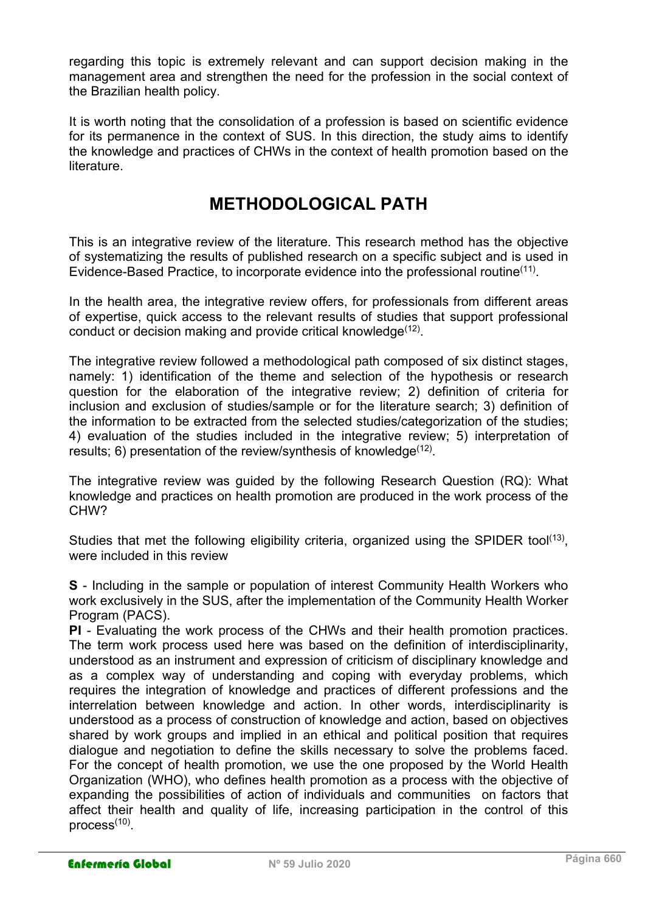regarding this topic is extremely relevant and can support decision making in the management area and strengthen the need for the profession in the social context of the Brazilian health policy.

It is worth noting that the consolidation of a profession is based on scientific evidence for its permanence in the context of SUS. In this direction, the study aims to identify the knowledge and practices of CHWs in the context of health promotion based on the literature.

# METHODOLOGICAL PATH

This is an integrative review of the literature. This research method has the objective of systematizing the results of published research on a specific subject and is used in Evidence-Based Practice, to incorporate evidence into the professional routine<sup>(11)</sup>.

In the health area, the integrative review offers, for professionals from different areas of expertise, quick access to the relevant results of studies that support professional conduct or decision making and provide critical knowledge $(12)$ .

The integrative review followed a methodological path composed of six distinct stages, namely: 1) identification of the theme and selection of the hypothesis or research question for the elaboration of the integrative review; 2) definition of criteria for inclusion and exclusion of studies/sample or for the literature search; 3) definition of the information to be extracted from the selected studies/categorization of the studies; 4) evaluation of the studies included in the integrative review; 5) interpretation of results; 6) presentation of the review/synthesis of knowledge $^{(12)}$ .

The integrative review was guided by the following Research Question (RQ): What knowledge and practices on health promotion are produced in the work process of the CHW?

Studies that met the following eligibility criteria, organized using the SPIDER tool<sup>(13)</sup>, were included in this review

S - Including in the sample or population of interest Community Health Workers who work exclusively in the SUS, after the implementation of the Community Health Worker Program (PACS).

PI - Evaluating the work process of the CHWs and their health promotion practices. The term work process used here was based on the definition of interdisciplinarity, understood as an instrument and expression of criticism of disciplinary knowledge and as a complex way of understanding and coping with everyday problems, which requires the integration of knowledge and practices of different professions and the interrelation between knowledge and action. In other words, interdisciplinarity is understood as a process of construction of knowledge and action, based on objectives shared by work groups and implied in an ethical and political position that requires dialogue and negotiation to define the skills necessary to solve the problems faced. For the concept of health promotion, we use the one proposed by the World Health Organization (WHO), who defines health promotion as a process with the objective of expanding the possibilities of action of individuals and communities on factors that affect their health and quality of life, increasing participation in the control of this process<sup>(10)</sup>.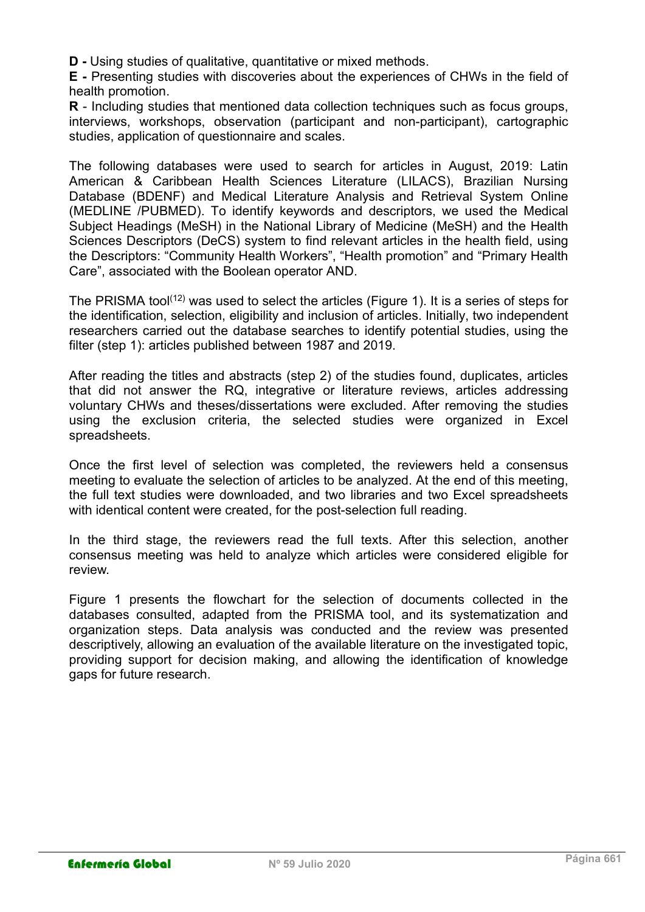D - Using studies of qualitative, quantitative or mixed methods.

E - Presenting studies with discoveries about the experiences of CHWs in the field of health promotion.

R - Including studies that mentioned data collection techniques such as focus groups, interviews, workshops, observation (participant and non-participant), cartographic studies, application of questionnaire and scales.

The following databases were used to search for articles in August, 2019: Latin American & Caribbean Health Sciences Literature (LILACS), Brazilian Nursing Database (BDENF) and Medical Literature Analysis and Retrieval System Online (MEDLINE /PUBMED). To identify keywords and descriptors, we used the Medical Subject Headings (MeSH) in the National Library of Medicine (MeSH) and the Health Sciences Descriptors (DeCS) system to find relevant articles in the health field, using the Descriptors: "Community Health Workers", "Health promotion" and "Primary Health Care", associated with the Boolean operator AND.

The PRISMA tool<sup>(12)</sup> was used to select the articles (Figure 1). It is a series of steps for the identification, selection, eligibility and inclusion of articles. Initially, two independent researchers carried out the database searches to identify potential studies, using the filter (step 1): articles published between 1987 and 2019.

After reading the titles and abstracts (step 2) of the studies found, duplicates, articles that did not answer the RQ, integrative or literature reviews, articles addressing voluntary CHWs and theses/dissertations were excluded. After removing the studies using the exclusion criteria, the selected studies were organized in Excel spreadsheets.

Once the first level of selection was completed, the reviewers held a consensus meeting to evaluate the selection of articles to be analyzed. At the end of this meeting, the full text studies were downloaded, and two libraries and two Excel spreadsheets with identical content were created, for the post-selection full reading.

In the third stage, the reviewers read the full texts. After this selection, another consensus meeting was held to analyze which articles were considered eligible for review.

Figure 1 presents the flowchart for the selection of documents collected in the databases consulted, adapted from the PRISMA tool, and its systematization and organization steps. Data analysis was conducted and the review was presented descriptively, allowing an evaluation of the available literature on the investigated topic, providing support for decision making, and allowing the identification of knowledge gaps for future research.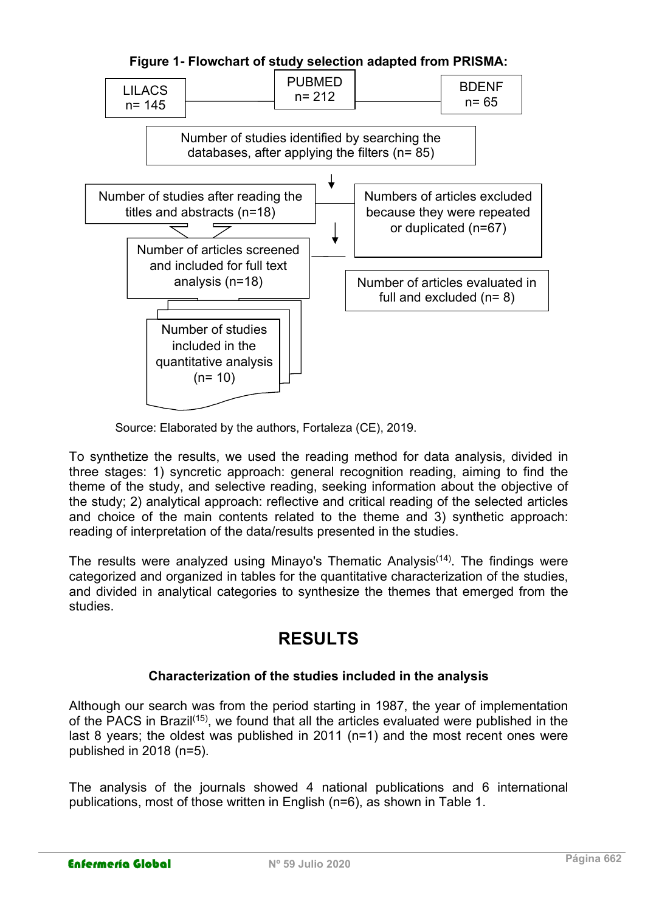



Source: Elaborated by the authors, Fortaleza (CE), 2019.

To synthetize the results, we used the reading method for data analysis, divided in three stages: 1) syncretic approach: general recognition reading, aiming to find the theme of the study, and selective reading, seeking information about the objective of the study; 2) analytical approach: reflective and critical reading of the selected articles and choice of the main contents related to the theme and 3) synthetic approach: reading of interpretation of the data/results presented in the studies.

The results were analyzed using Minayo's Thematic Analysis<sup>(14)</sup>. The findings were categorized and organized in tables for the quantitative characterization of the studies, and divided in analytical categories to synthesize the themes that emerged from the studies.

# RESULTS

### Characterization of the studies included in the analysis

Although our search was from the period starting in 1987, the year of implementation of the PACS in Brazil(15), we found that all the articles evaluated were published in the last 8 years; the oldest was published in 2011 (n=1) and the most recent ones were published in 2018 (n=5).

The analysis of the journals showed 4 national publications and 6 international publications, most of those written in English (n=6), as shown in Table 1.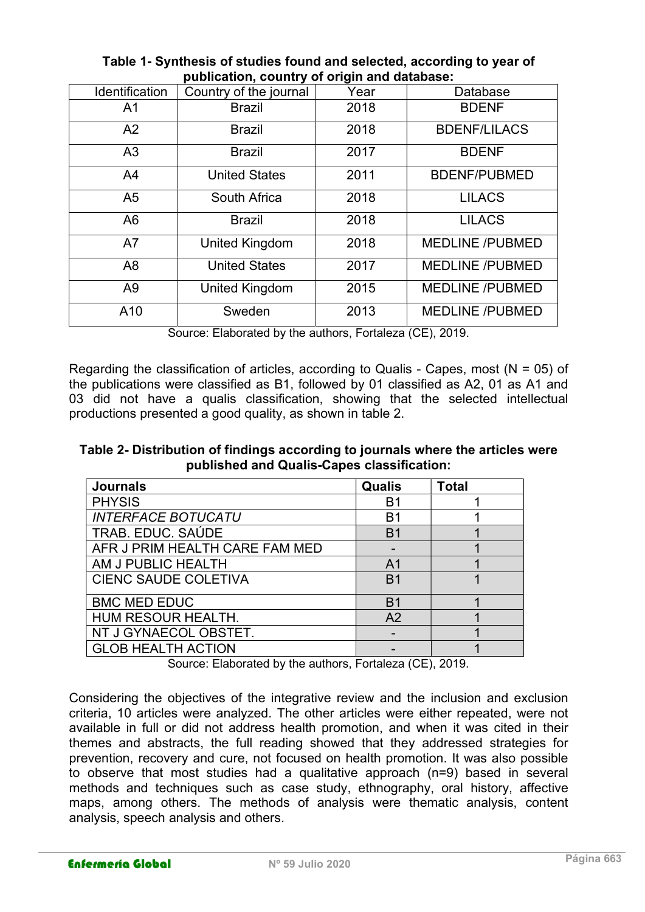| <b>Identification</b> | Country of the journal | Year | Database               |
|-----------------------|------------------------|------|------------------------|
| A <sub>1</sub>        | <b>Brazil</b>          | 2018 | <b>BDENF</b>           |
| A2                    | <b>Brazil</b>          | 2018 | <b>BDENF/LILACS</b>    |
| A <sub>3</sub>        | <b>Brazil</b>          | 2017 | <b>BDENF</b>           |
| A <sub>4</sub>        | <b>United States</b>   | 2011 | <b>BDENF/PUBMED</b>    |
| A <sub>5</sub>        | South Africa           | 2018 | <b>LILACS</b>          |
| A <sub>6</sub>        | <b>Brazil</b>          | 2018 | <b>LILACS</b>          |
| A7                    | <b>United Kingdom</b>  | 2018 | <b>MEDLINE /PUBMED</b> |
| A <sub>8</sub>        | <b>United States</b>   | 2017 | <b>MEDLINE /PUBMED</b> |
| A <sub>9</sub>        | <b>United Kingdom</b>  | 2015 | <b>MEDLINE /PUBMED</b> |
| A10                   | Sweden                 | 2013 | <b>MEDLINE /PUBMED</b> |

Table 1- Synthesis of studies found and selected, according to year of publication, country of origin and database:

Source: Elaborated by the authors, Fortaleza (CE), 2019.

Regarding the classification of articles, according to Qualis - Capes, most ( $N = 05$ ) of the publications were classified as B1, followed by 01 classified as A2, 01 as A1 and 03 did not have a qualis classification, showing that the selected intellectual productions presented a good quality, as shown in table 2.

Table 2- Distribution of findings according to journals where the articles were published and Qualis-Capes classification:

| <b>Journals</b>                | Qualis         | <b>Total</b> |
|--------------------------------|----------------|--------------|
| <b>PHYSIS</b>                  | B1             |              |
| <b>INTERFACE BOTUCATU</b>      | B1             |              |
| TRAB. EDUC. SAÚDE              | B <sub>1</sub> |              |
| AFR J PRIM HEALTH CARE FAM MED |                |              |
| AM J PUBLIC HEALTH             | A <sub>1</sub> |              |
| <b>CIENC SAUDE COLETIVA</b>    | B <sub>1</sub> |              |
| <b>BMC MED EDUC</b>            | B <sub>1</sub> |              |
| HUM RESOUR HEALTH.             | A <sub>2</sub> |              |
| NT J GYNAECOL OBSTET.          |                |              |
| <b>GLOB HEALTH ACTION</b>      |                |              |

Source: Elaborated by the authors, Fortaleza (CE), 2019.

Considering the objectives of the integrative review and the inclusion and exclusion criteria, 10 articles were analyzed. The other articles were either repeated, were not available in full or did not address health promotion, and when it was cited in their themes and abstracts, the full reading showed that they addressed strategies for prevention, recovery and cure, not focused on health promotion. It was also possible to observe that most studies had a qualitative approach (n=9) based in several methods and techniques such as case study, ethnography, oral history, affective maps, among others. The methods of analysis were thematic analysis, content analysis, speech analysis and others.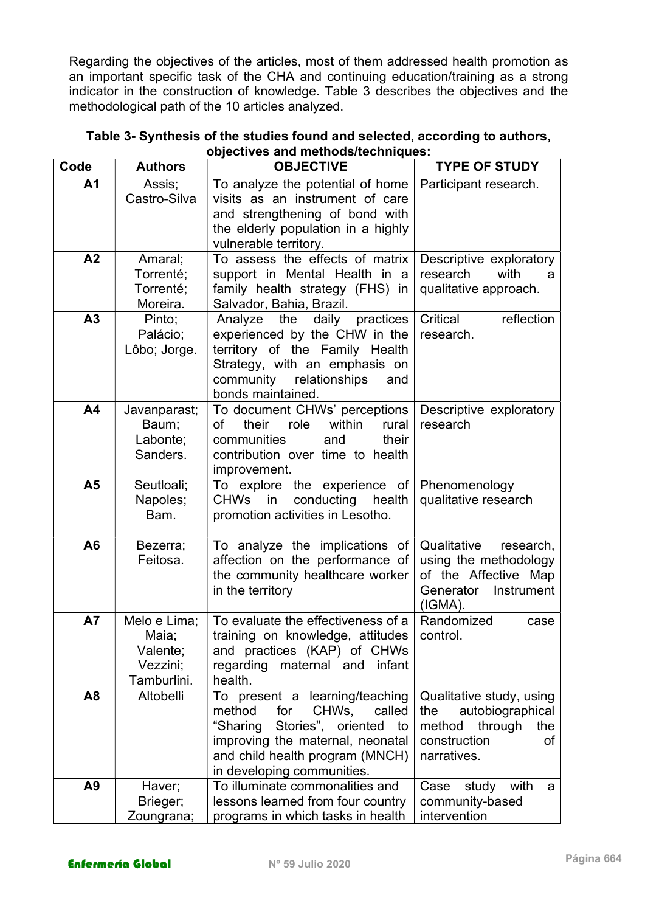Regarding the objectives of the articles, most of them addressed health promotion as an important specific task of the CHA and continuing education/training as a strong indicator in the construction of knowledge. Table 3 describes the objectives and the methodological path of the 10 articles analyzed.

| Code           | <b>Authors</b>          | <b>OBJECTIVE</b>                                                  | <b>TYPE OF STUDY</b>                              |
|----------------|-------------------------|-------------------------------------------------------------------|---------------------------------------------------|
| A <sub>1</sub> | Assis;                  | To analyze the potential of home                                  | Participant research.                             |
|                | Castro-Silva            | visits as an instrument of care                                   |                                                   |
|                |                         | and strengthening of bond with                                    |                                                   |
|                |                         | the elderly population in a highly                                |                                                   |
|                |                         | vulnerable territory.                                             |                                                   |
| A <sub>2</sub> | Amaral;<br>Torrenté;    | To assess the effects of matrix<br>support in Mental Health in a  | Descriptive exploratory<br>with<br>research<br>a  |
|                | Torrenté;               | family health strategy (FHS) in                                   | qualitative approach.                             |
|                | Moreira.                | Salvador, Bahia, Brazil.                                          |                                                   |
| A3             | Pinto;                  | daily practices<br>Analyze the                                    | Critical<br>reflection                            |
|                | Palácio;                | experienced by the CHW in the                                     | research.                                         |
|                | Lôbo; Jorge.            | territory of the Family Health                                    |                                                   |
|                |                         | Strategy, with an emphasis on                                     |                                                   |
|                |                         | community relationships<br>and                                    |                                                   |
|                |                         | bonds maintained.                                                 |                                                   |
| A4             | Javanparast;            | To document CHWs' perceptions<br>rural                            | Descriptive exploratory                           |
|                | Baum;<br>Labonte;       | their<br>role<br>within<br>of<br>communities<br>and<br>their      | research                                          |
|                | Sanders.                | contribution over time to health                                  |                                                   |
|                |                         | improvement.                                                      |                                                   |
| A <sub>5</sub> | Seutloali;              | To explore the experience of                                      | Phenomenology                                     |
|                | Napoles;                | conducting<br>health<br>CHWs in                                   | qualitative research                              |
|                | Bam.                    | promotion activities in Lesotho.                                  |                                                   |
|                |                         |                                                                   |                                                   |
| A <sub>6</sub> | Bezerra;<br>Feitosa.    | To analyze the implications of<br>affection on the performance of | Qualitative<br>research,<br>using the methodology |
|                |                         | the community healthcare worker                                   | of the Affective Map                              |
|                |                         | in the territory                                                  | Generator<br>Instrument                           |
|                |                         |                                                                   | (IGMA).                                           |
| <b>A7</b>      | Melo e Lima;            | To evaluate the effectiveness of a                                | Randomized<br>case                                |
|                | Maia;                   | training on knowledge, attitudes                                  | control.                                          |
|                | Valente;                | and practices (KAP) of CHWs                                       |                                                   |
|                | Vezzini;<br>Tamburlini. | regarding maternal and<br>infant<br>health.                       |                                                   |
| A <sub>8</sub> | Altobelli               | To present a learning/teaching                                    | Qualitative study, using                          |
|                |                         | CHWs,<br>method<br>for<br>called                                  | autobiographical<br>the                           |
|                |                         | "Sharing<br>Stories", oriented<br>to                              | method<br>through<br>the                          |
|                |                         | improving the maternal, neonatal                                  | construction<br>οf                                |
|                |                         | and child health program (MNCH)                                   | narratives.                                       |
|                |                         | in developing communities.                                        |                                                   |
| A <sub>9</sub> | Haver;                  | To illuminate commonalities and                                   | study with<br>Case<br>a                           |
|                | Brieger;                | lessons learned from four country                                 | community-based                                   |
|                | Zoungrana;              | programs in which tasks in health                                 | intervention                                      |

Table 3- Synthesis of the studies found and selected, according to authors, objectives and methods/techniques: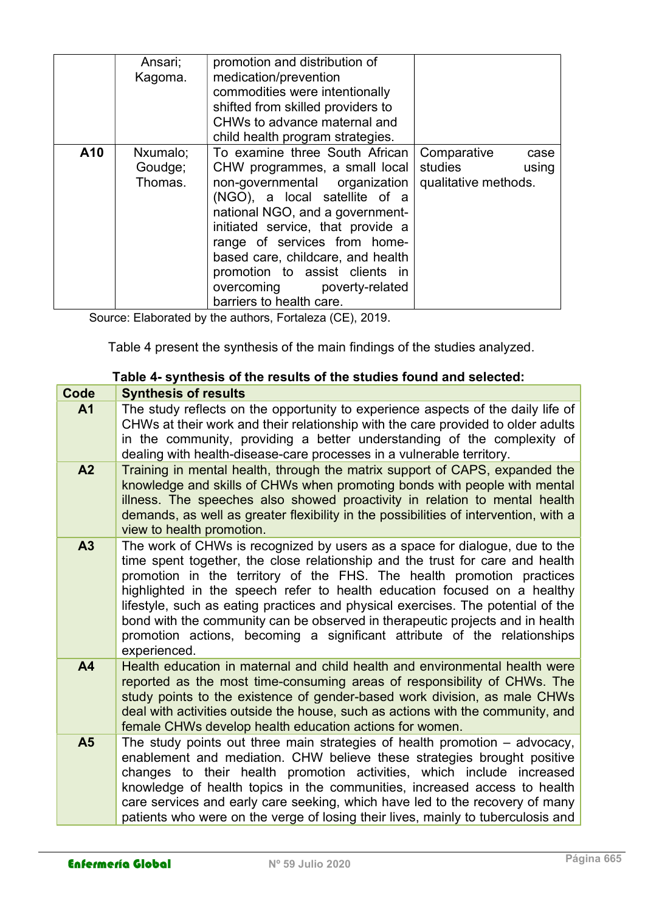|     | Ansari;<br>Kagoma.             | promotion and distribution of<br>medication/prevention<br>commodities were intentionally<br>shifted from skilled providers to<br>CHWs to advance maternal and<br>child health program strategies.                                                                                                                                                                          |                                                                 |
|-----|--------------------------------|----------------------------------------------------------------------------------------------------------------------------------------------------------------------------------------------------------------------------------------------------------------------------------------------------------------------------------------------------------------------------|-----------------------------------------------------------------|
| A10 | Nxumalo;<br>Goudge;<br>Thomas. | To examine three South African<br>CHW programmes, a small local<br>non-governmental organization<br>(NGO), a local satellite of a<br>national NGO, and a government-<br>initiated service, that provide a<br>range of services from home-<br>based care, childcare, and health<br>promotion to assist clients in<br>overcoming poverty-related<br>barriers to health care. | Comparative<br>case<br>studies<br>using<br>qualitative methods. |

Source: Elaborated by the authors, Fortaleza (CE), 2019.

Table 4 present the synthesis of the main findings of the studies analyzed.

### Table 4- synthesis of the results of the studies found and selected:

| Code           | <b>Synthesis of results</b>                                                                                                                                                                                                                                                                                                                                                                                                                                                                                                                                                        |
|----------------|------------------------------------------------------------------------------------------------------------------------------------------------------------------------------------------------------------------------------------------------------------------------------------------------------------------------------------------------------------------------------------------------------------------------------------------------------------------------------------------------------------------------------------------------------------------------------------|
| A <sub>1</sub> | The study reflects on the opportunity to experience aspects of the daily life of<br>CHWs at their work and their relationship with the care provided to older adults<br>in the community, providing a better understanding of the complexity of<br>dealing with health-disease-care processes in a vulnerable territory.                                                                                                                                                                                                                                                           |
| A <sub>2</sub> | Training in mental health, through the matrix support of CAPS, expanded the<br>knowledge and skills of CHWs when promoting bonds with people with mental<br>illness. The speeches also showed proactivity in relation to mental health<br>demands, as well as greater flexibility in the possibilities of intervention, with a<br>view to health promotion.                                                                                                                                                                                                                        |
| A3             | The work of CHWs is recognized by users as a space for dialogue, due to the<br>time spent together, the close relationship and the trust for care and health<br>promotion in the territory of the FHS. The health promotion practices<br>highlighted in the speech refer to health education focused on a healthy<br>lifestyle, such as eating practices and physical exercises. The potential of the<br>bond with the community can be observed in therapeutic projects and in health<br>promotion actions, becoming a significant attribute of the relationships<br>experienced. |
| A <sub>4</sub> | Health education in maternal and child health and environmental health were<br>reported as the most time-consuming areas of responsibility of CHWs. The<br>study points to the existence of gender-based work division, as male CHWs<br>deal with activities outside the house, such as actions with the community, and<br>female CHWs develop health education actions for women.                                                                                                                                                                                                 |
| A <sub>5</sub> | The study points out three main strategies of health promotion $-$ advocacy,<br>enablement and mediation. CHW believe these strategies brought positive<br>changes to their health promotion activities, which include increased<br>knowledge of health topics in the communities, increased access to health<br>care services and early care seeking, which have led to the recovery of many<br>patients who were on the verge of losing their lives, mainly to tuberculosis and                                                                                                  |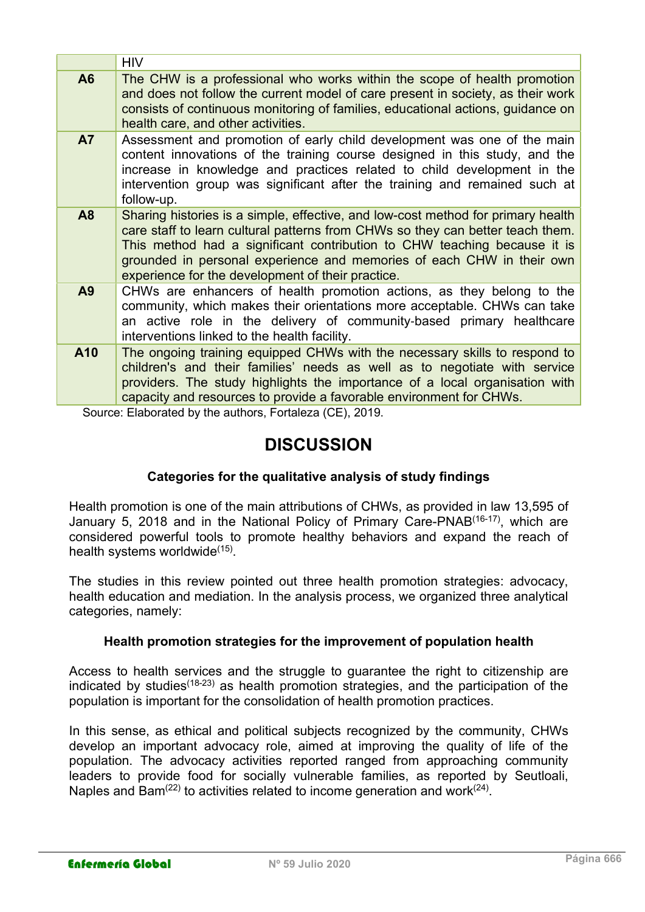|     | <b>HIV</b>                                                                                                                                                                                                                                                                                                                                                                   |
|-----|------------------------------------------------------------------------------------------------------------------------------------------------------------------------------------------------------------------------------------------------------------------------------------------------------------------------------------------------------------------------------|
| A6  | The CHW is a professional who works within the scope of health promotion<br>and does not follow the current model of care present in society, as their work<br>consists of continuous monitoring of families, educational actions, guidance on<br>health care, and other activities.                                                                                         |
| A7  | Assessment and promotion of early child development was one of the main<br>content innovations of the training course designed in this study, and the<br>increase in knowledge and practices related to child development in the<br>intervention group was significant after the training and remained such at<br>follow-up.                                                 |
| A8  | Sharing histories is a simple, effective, and low-cost method for primary health<br>care staff to learn cultural patterns from CHWs so they can better teach them.<br>This method had a significant contribution to CHW teaching because it is<br>grounded in personal experience and memories of each CHW in their own<br>experience for the development of their practice. |
| A9  | CHWs are enhancers of health promotion actions, as they belong to the<br>community, which makes their orientations more acceptable. CHWs can take<br>an active role in the delivery of community-based primary healthcare<br>interventions linked to the health facility.                                                                                                    |
| A10 | The ongoing training equipped CHWs with the necessary skills to respond to<br>children's and their families' needs as well as to negotiate with service<br>providers. The study highlights the importance of a local organisation with<br>capacity and resources to provide a favorable environment for CHWs.                                                                |

Source: Elaborated by the authors, Fortaleza (CE), 2019.

# **DISCUSSION**

### Categories for the qualitative analysis of study findings

Health promotion is one of the main attributions of CHWs, as provided in law 13,595 of January 5, 2018 and in the National Policy of Primary Care-PNAB<sup>(16-17)</sup>, which are considered powerful tools to promote healthy behaviors and expand the reach of health systems worldwide<sup>(15)</sup>.

The studies in this review pointed out three health promotion strategies: advocacy, health education and mediation. In the analysis process, we organized three analytical categories, namely:

### Health promotion strategies for the improvement of population health

Access to health services and the struggle to guarantee the right to citizenship are indicated by studies<sup> $(18-23)$ </sup> as health promotion strategies, and the participation of the population is important for the consolidation of health promotion practices.

In this sense, as ethical and political subjects recognized by the community, CHWs develop an important advocacy role, aimed at improving the quality of life of the population. The advocacy activities reported ranged from approaching community leaders to provide food for socially vulnerable families, as reported by Seutloali, Naples and Bam<sup>(22)</sup> to activities related to income generation and work<sup>(24)</sup>.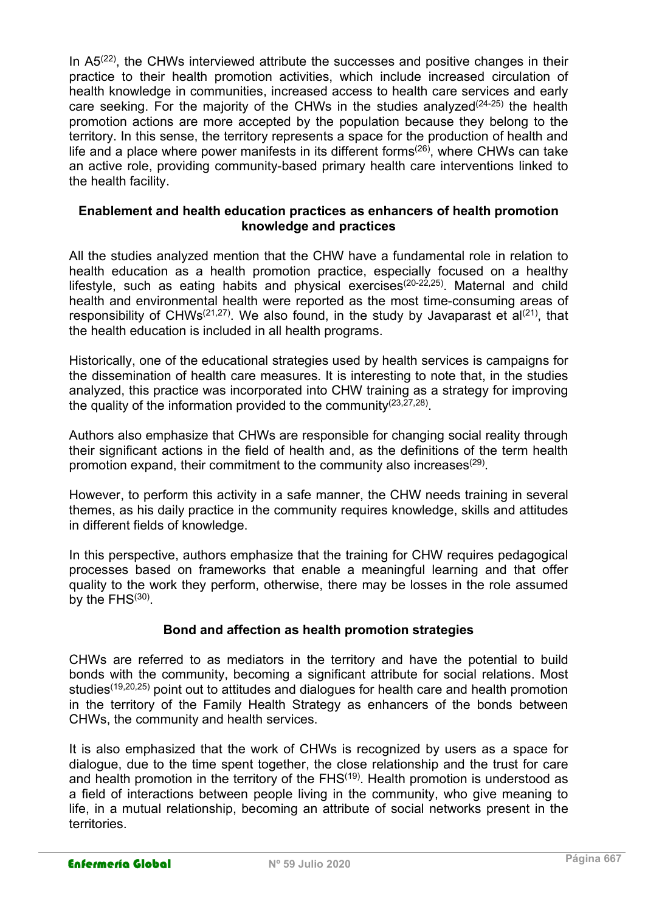In  $A5<sup>(22)</sup>$ , the CHWs interviewed attribute the successes and positive changes in their practice to their health promotion activities, which include increased circulation of health knowledge in communities, increased access to health care services and early care seeking. For the majority of the CHWs in the studies analyzed<sup>(24-25)</sup> the health promotion actions are more accepted by the population because they belong to the territory. In this sense, the territory represents a space for the production of health and life and a place where power manifests in its different forms<sup> $(26)$ </sup>, where CHWs can take an active role, providing community-based primary health care interventions linked to the health facility.

### Enablement and health education practices as enhancers of health promotion knowledge and practices

All the studies analyzed mention that the CHW have a fundamental role in relation to health education as a health promotion practice, especially focused on a healthy lifestyle, such as eating habits and physical exercises(20-22,25). Maternal and child health and environmental health were reported as the most time-consuming areas of responsibility of CHWs<sup>(21,27)</sup>. We also found, in the study by Javaparast et  $a^{(21)}$ , that the health education is included in all health programs.

Historically, one of the educational strategies used by health services is campaigns for the dissemination of health care measures. It is interesting to note that, in the studies analyzed, this practice was incorporated into CHW training as a strategy for improving the quality of the information provided to the community  $(23,27,28)$ .

Authors also emphasize that CHWs are responsible for changing social reality through their significant actions in the field of health and, as the definitions of the term health promotion expand, their commitment to the community also increases $^{(29)}$ .

However, to perform this activity in a safe manner, the CHW needs training in several themes, as his daily practice in the community requires knowledge, skills and attitudes in different fields of knowledge.

In this perspective, authors emphasize that the training for CHW requires pedagogical processes based on frameworks that enable a meaningful learning and that offer quality to the work they perform, otherwise, there may be losses in the role assumed by the FHS<sup>(30)</sup>.

### Bond and affection as health promotion strategies

CHWs are referred to as mediators in the territory and have the potential to build bonds with the community, becoming a significant attribute for social relations. Most studies<sup>(19,20,25)</sup> point out to attitudes and dialogues for health care and health promotion in the territory of the Family Health Strategy as enhancers of the bonds between CHWs, the community and health services.

It is also emphasized that the work of CHWs is recognized by users as a space for dialogue, due to the time spent together, the close relationship and the trust for care and health promotion in the territory of the  $FHS<sup>(19)</sup>$ . Health promotion is understood as a field of interactions between people living in the community, who give meaning to life, in a mutual relationship, becoming an attribute of social networks present in the territories.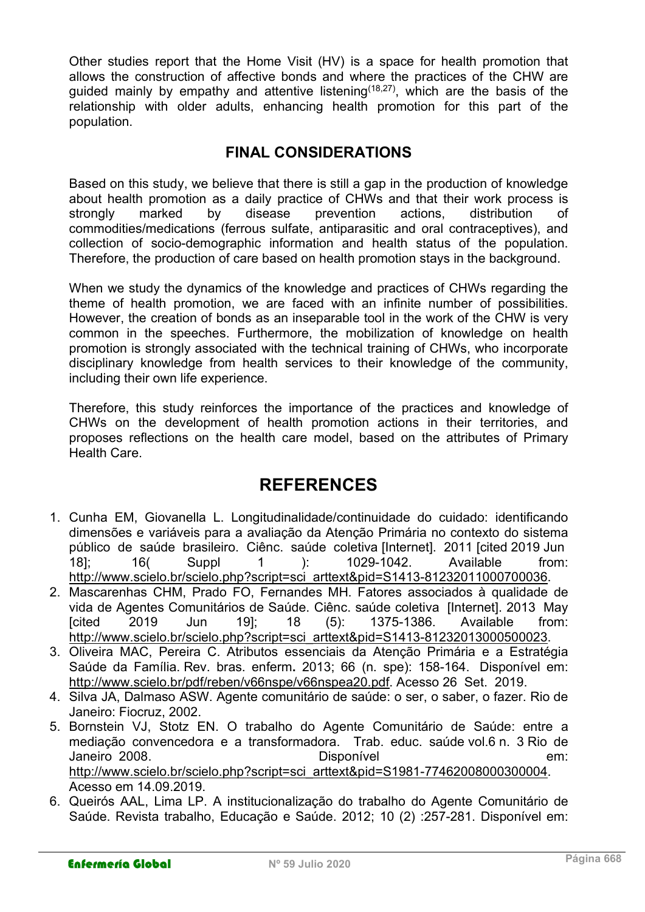Other studies report that the Home Visit (HV) is a space for health promotion that allows the construction of affective bonds and where the practices of the CHW are quided mainly by empathy and attentive listening  $(18,27)$ , which are the basis of the relationship with older adults, enhancing health promotion for this part of the population.

## FINAL CONSIDERATIONS

Based on this study, we believe that there is still a gap in the production of knowledge about health promotion as a daily practice of CHWs and that their work process is strongly marked by disease prevention actions, distribution of commodities/medications (ferrous sulfate, antiparasitic and oral contraceptives), and collection of socio-demographic information and health status of the population. Therefore, the production of care based on health promotion stays in the background.

When we study the dynamics of the knowledge and practices of CHWs regarding the theme of health promotion, we are faced with an infinite number of possibilities. However, the creation of bonds as an inseparable tool in the work of the CHW is very common in the speeches. Furthermore, the mobilization of knowledge on health promotion is strongly associated with the technical training of CHWs, who incorporate disciplinary knowledge from health services to their knowledge of the community, including their own life experience.

Therefore, this study reinforces the importance of the practices and knowledge of CHWs on the development of health promotion actions in their territories, and proposes reflections on the health care model, based on the attributes of Primary Health Care.

# REFERENCES

- 1. Cunha EM, Giovanella L. Longitudinalidade/continuidade do cuidado: identificando dimensões e variáveis para a avaliação da Atenção Primária no contexto do sistema público de saúde brasileiro. Ciênc. saúde coletiva [Internet]. 2011 [cited 2019 Jun 18]; 16( Suppl 1 ): 1029-1042. Available from: http://www.scielo.br/scielo.php?script=sci\_arttext&pid=S1413-81232011000700036.
- 2. Mascarenhas CHM, Prado FO, Fernandes MH. Fatores associados à qualidade de vida de Agentes Comunitários de Saúde. Ciênc. saúde coletiva [Internet]. 2013 May [cited 2019 Jun 19]; 18 (5): 1375-1386. Available from: http://www.scielo.br/scielo.php?script=sci\_arttext&pid=S1413-81232013000500023.
- 3. Oliveira MAC, Pereira C. Atributos essenciais da Atenção Primária e a Estratégia Saúde da Família. Rev. bras. enferm. 2013; 66 (n. spe): 158-164. Disponível em: http://www.scielo.br/pdf/reben/v66nspe/v66nspea20.pdf. Acesso 26 Set. 2019.
- 4. Silva JA, Dalmaso ASW. Agente comunitário de saúde: o ser, o saber, o fazer. Rio de Janeiro: Fiocruz, 2002.
- 5. Bornstein VJ, Stotz EN. O trabalho do Agente Comunitário de Saúde: entre a mediação convencedora e a transformadora. Trab. educ. saúde vol.6 n. 3 Rio de Janeiro 2008. Disponível em: http://www.scielo.br/scielo.php?script=sci\_arttext&pid=S1981-77462008000300004. Acesso em 14.09.2019.
- 6. Queirós AAL, Lima LP. A institucionalização do trabalho do Agente Comunitário de Saúde. Revista trabalho, Educação e Saúde. 2012; 10 (2) :257-281. Disponível em: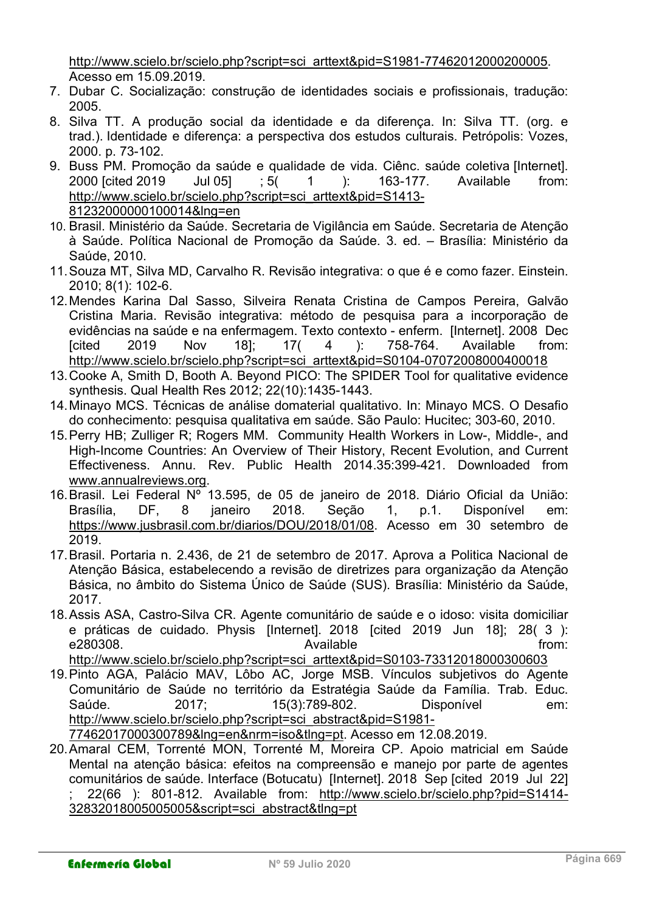http://www.scielo.br/scielo.php?script=sci\_arttext&pid=S1981-77462012000200005. Acesso em 15.09.2019.

- 7. Dubar C. Socialização: construção de identidades sociais e profissionais, tradução: 2005.
- 8. Silva TT. A produção social da identidade e da diferença. In: Silva TT. (org. e trad.). Identidade e diferença: a perspectiva dos estudos culturais. Petrópolis: Vozes, 2000. p. 73-102.
- 9. Buss PM. Promoção da saúde e qualidade de vida. Ciênc. saúde coletiva [Internet]. 2000 [cited 2019 Jul 05] ; 5( 1 ): 163-177. Available from: http://www.scielo.br/scielo.php?script=sci\_arttext&pid=S1413- 81232000000100014&lng=en
- 10. Brasil. Ministério da Saúde. Secretaria de Vigilância em Saúde. Secretaria de Atenção à Saúde. Política Nacional de Promoção da Saúde. 3. ed. – Brasília: Ministério da Saúde, 2010.
- 11. Souza MT, Silva MD, Carvalho R. Revisão integrativa: o que é e como fazer. Einstein. 2010; 8(1): 102-6.
- 12. Mendes Karina Dal Sasso, Silveira Renata Cristina de Campos Pereira, Galvão Cristina Maria. Revisão integrativa: método de pesquisa para a incorporação de evidências na saúde e na enfermagem. Texto contexto - enferm. [Internet]. 2008 Dec [cited 2019 Nov 18]; 17( 4 ): 758-764. Available from: http://www.scielo.br/scielo.php?script=sci\_arttext&pid=S0104-07072008000400018
- 13. Cooke A, Smith D, Booth A. Beyond PICO: The SPIDER Tool for qualitative evidence synthesis. Qual Health Res 2012; 22(10):1435-1443.
- 14. Minayo MCS. Técnicas de análise domaterial qualitativo. In: Minayo MCS. O Desafio do conhecimento: pesquisa qualitativa em saúde. São Paulo: Hucitec; 303-60, 2010.
- 15. Perry HB; Zulliger R; Rogers MM. Community Health Workers in Low-, Middle-, and High-Income Countries: An Overview of Their History, Recent Evolution, and Current Effectiveness. Annu. Rev. Public Health 2014.35:399-421. Downloaded from www.annualreviews.org.
- 16. Brasil. Lei Federal Nº 13.595, de 05 de janeiro de 2018. Diário Oficial da União: Brasília, DF, 8 janeiro 2018. Seção 1, p.1. Disponível em: https://www.jusbrasil.com.br/diarios/DOU/2018/01/08. Acesso em 30 setembro de 2019.
- 17. Brasil. Portaria n. 2.436, de 21 de setembro de 2017. Aprova a Politica Nacional de Atenção Básica, estabelecendo a revisão de diretrizes para organização da Atenção Básica, no âmbito do Sistema Único de Saúde (SUS). Brasília: Ministério da Saúde, 2017.
- 18. Assis ASA, Castro-Silva CR. Agente comunitário de saúde e o idoso: visita domiciliar e práticas de cuidado. Physis [Internet]. 2018 [cited 2019 Jun 18]; 28( 3 ): e280308. Available from:

http://www.scielo.br/scielo.php?script=sci\_arttext&pid=S0103-73312018000300603

- 19. Pinto AGA, Palácio MAV, Lôbo AC, Jorge MSB. Vínculos subjetivos do Agente Comunitário de Saúde no território da Estratégia Saúde da Família. Trab. Educ. Saúde. 2017; 15(3):789-802. Disponível em: http://www.scielo.br/scielo.php?script=sci\_abstract&pid=S1981- 77462017000300789&lng=en&nrm=iso&tlng=pt. Acesso em 12.08.2019.
- 20. Amaral CEM, Torrenté MON, Torrenté M, Moreira CP. Apoio matricial em Saúde Mental na atenção básica: efeitos na compreensão e manejo por parte de agentes comunitários de saúde. Interface (Botucatu) [Internet]. 2018 Sep [cited 2019 Jul 22] ; 22(66 ): 801-812. Available from: http://www.scielo.br/scielo.php?pid=S1414- 32832018005005005&script=sci\_abstract&tlng=pt